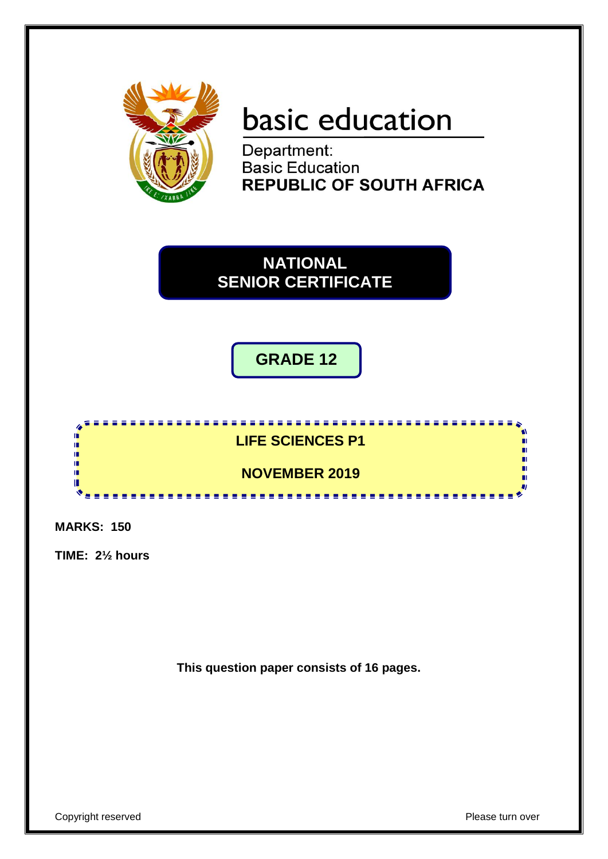

# **basic education**

Department: **Basic Education REPUBLIC OF SOUTH AFRICA** 

**NATIONAL SENIOR CERTIFICATE**

# **GRADE 12**



**MARKS: 150**

**TIME: 2½ hours**

**This question paper consists of 16 pages.**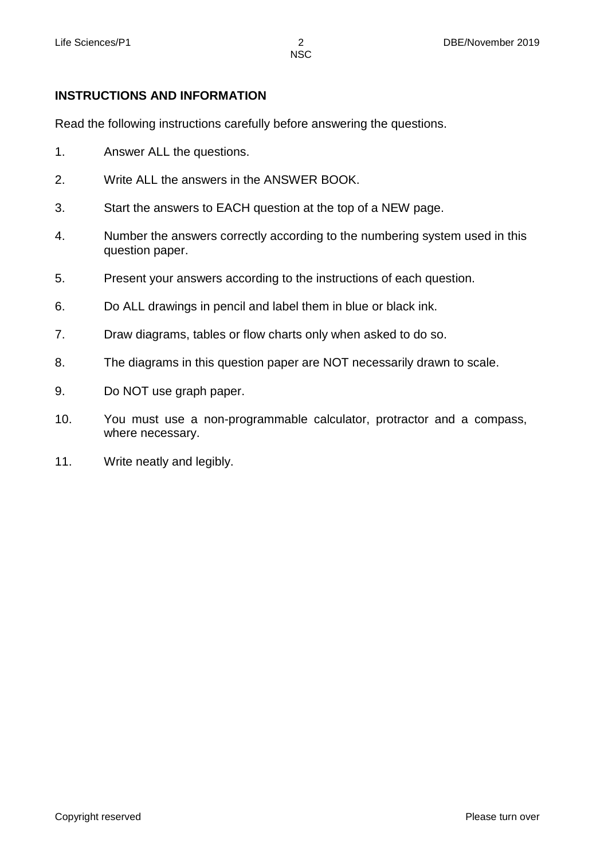#### **INSTRUCTIONS AND INFORMATION**

Read the following instructions carefully before answering the questions.

- 1. Answer ALL the questions.
- 2. Write ALL the answers in the ANSWER BOOK.
- 3. Start the answers to EACH question at the top of a NEW page.
- 4. Number the answers correctly according to the numbering system used in this question paper.
- 5. Present your answers according to the instructions of each question.
- 6. Do ALL drawings in pencil and label them in blue or black ink.
- 7. Draw diagrams, tables or flow charts only when asked to do so.
- 8. The diagrams in this question paper are NOT necessarily drawn to scale.
- 9. Do NOT use graph paper.
- 10. You must use a non-programmable calculator, protractor and a compass, where necessary.
- 11. Write neatly and legibly.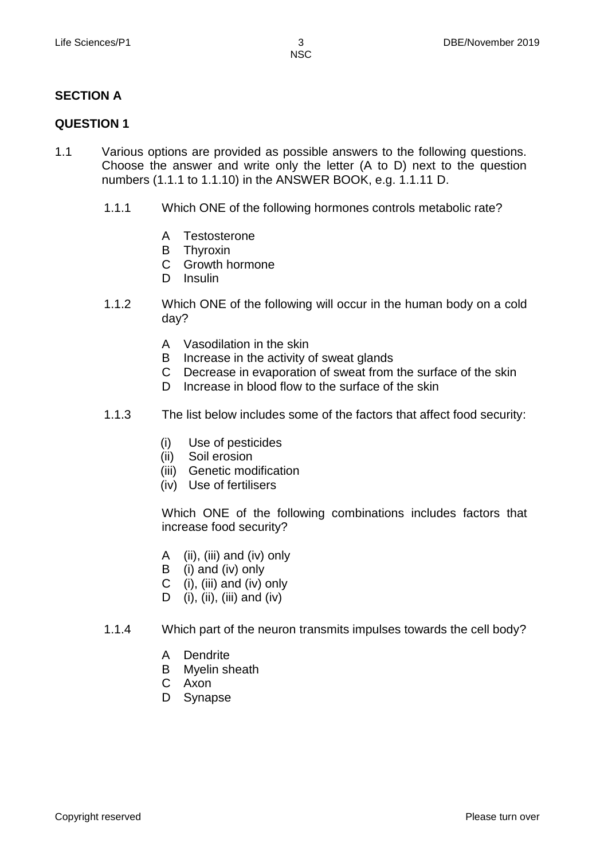#### **SECTION A**

#### **QUESTION 1**

- 1.1 Various options are provided as possible answers to the following questions. Choose the answer and write only the letter (A to D) next to the question numbers (1.1.1 to 1.1.10) in the ANSWER BOOK, e.g. 1.1.11 D.
	- 1.1.1 Which ONE of the following hormones controls metabolic rate?
		- A **Testosterone**
		- B Thyroxin
		- $\mathsf{C}$ Growth hormone
		- D Insulin
	- 1.1.2 Which ONE of the following will occur in the human body on a cold day?
		- A Vasodilation in the skin
		- B Increase in the activity of sweat glands
		- C Decrease in evaporation of sweat from the surface of the skin
		- D Increase in blood flow to the surface of the skin
	- 1.1.3 The list below includes some of the factors that affect food security:
		- (i) Use of pesticides
		- (ii) Soil erosion
		- (iii) Genetic modification
		- (iv) Use of fertilisers

Which ONE of the following combinations includes factors that increase food security?

- A (ii), (iii) and (iv) only
- B (i) and (iv) only
- $\mathsf{C}$ (i), (iii) and (iv) only
- D (i), (ii), (iii) and (iv)
- 1.1.4 Which part of the neuron transmits impulses towards the cell body?
	- A Dendrite
	- B Myelin sheath
	- C Axon
	- D Synapse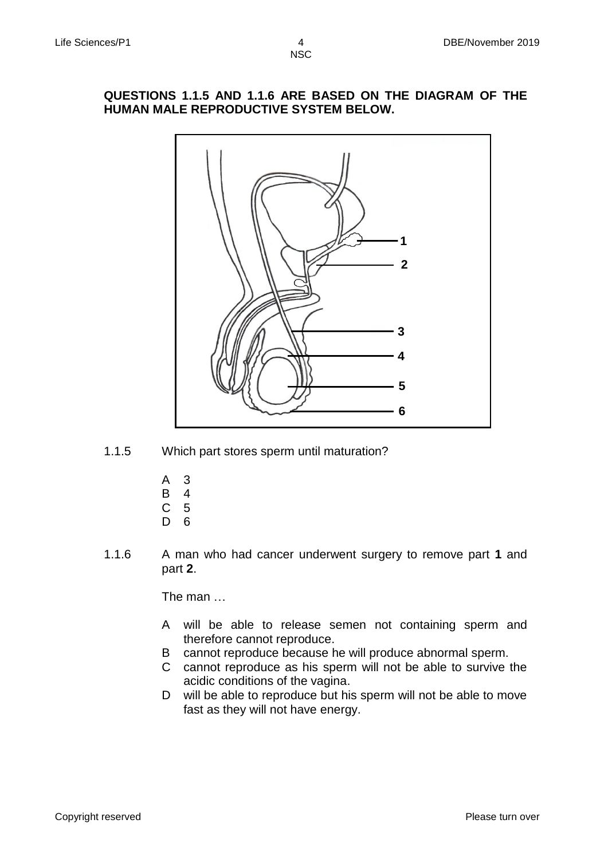#### **QUESTIONS 1.1.5 AND 1.1.6 ARE BASED ON THE DIAGRAM OF THE HUMAN MALE REPRODUCTIVE SYSTEM BELOW.**



- 1.1.5 Which part stores sperm until maturation?
	- A 3
	- B 4
	- C 5
	- D 6
- 1.1.6 A man who had cancer underwent surgery to remove part **1** and part **2**.

The man …

- A will be able to release semen not containing sperm and therefore cannot reproduce.
- B cannot reproduce because he will produce abnormal sperm.
- C cannot reproduce as his sperm will not be able to survive the acidic conditions of the vagina.
- D will be able to reproduce but his sperm will not be able to move fast as they will not have energy.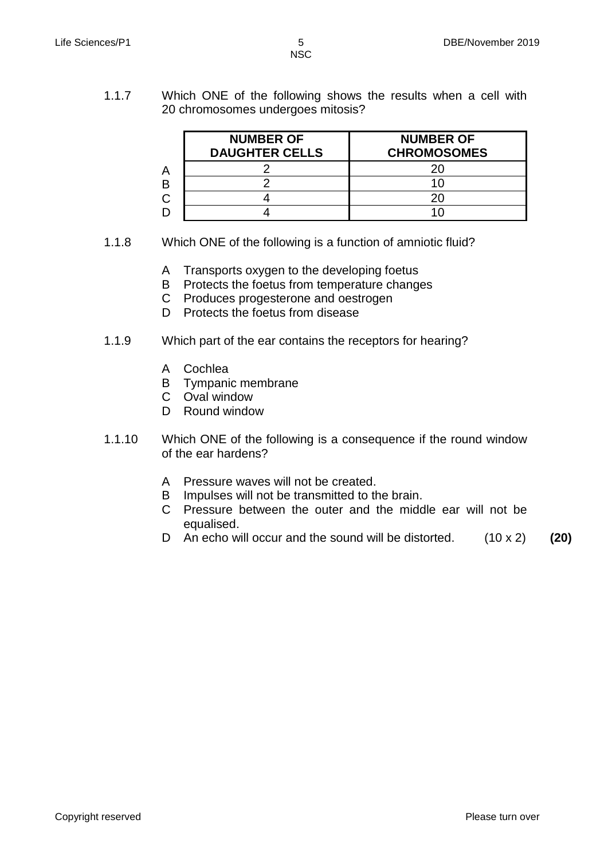1.1.7 Which ONE of the following shows the results when a cell with 20 chromosomes undergoes mitosis?

| <b>NUMBER OF</b><br><b>DAUGHTER CELLS</b> | <b>NUMBER OF</b><br><b>CHROMOSOMES</b> |
|-------------------------------------------|----------------------------------------|
|                                           |                                        |
|                                           |                                        |
|                                           |                                        |
|                                           |                                        |

- 1.1.8 Which ONE of the following is a function of amniotic fluid?
	- A Transports oxygen to the developing foetus
	- B Protects the foetus from temperature changes
	- C Produces progesterone and oestrogen
	- D Protects the foetus from disease
- 1.1.9 Which part of the ear contains the receptors for hearing?
	- A Cochlea
	- B Tympanic membrane
	- C Oval window
	- D Round window
- 1.1.10 Which ONE of the following is a consequence if the round window of the ear hardens?
	- A Pressure waves will not be created.
	- B Impulses will not be transmitted to the brain.
	- C Pressure between the outer and the middle ear will not be equalised.
	- D An echo will occur and the sound will be distorted. (10 x 2) **(20)**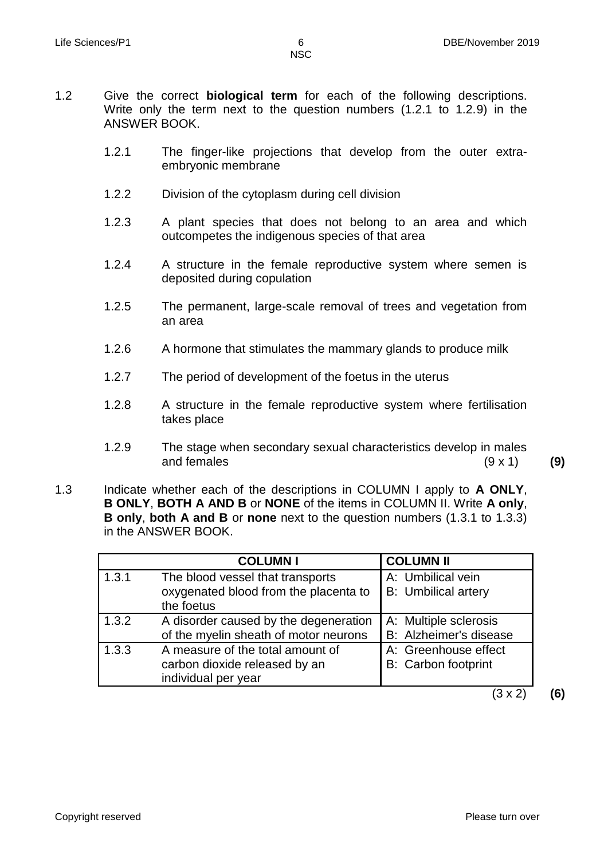- 1.2 Give the correct **biological term** for each of the following descriptions. Write only the term next to the question numbers (1.2.1 to 1.2.9) in the ANSWER BOOK.
	- 1.2.1 The finger-like projections that develop from the outer extraembryonic membrane
	- 1.2.2 Division of the cytoplasm during cell division
	- 1.2.3 A plant species that does not belong to an area and which outcompetes the indigenous species of that area
	- 1.2.4 A structure in the female reproductive system where semen is deposited during copulation
	- 1.2.5 The permanent, large-scale removal of trees and vegetation from an area
	- 1.2.6 A hormone that stimulates the mammary glands to produce milk
	- 1.2.7 The period of development of the foetus in the uterus
	- 1.2.8 A structure in the female reproductive system where fertilisation takes place
	- 1.2.9 The stage when secondary sexual characteristics develop in males and females (9 x 1) **(9)**
- 1.3 Indicate whether each of the descriptions in COLUMN I apply to **A ONLY**, **B ONLY**, **BOTH A AND B** or **NONE** of the items in COLUMN II. Write **A only**, **B only**, **both A and B** or **none** next to the question numbers (1.3.1 to 1.3.3) in the ANSWER BOOK.

|       | <b>COLUMNI</b>                                                                           | <b>COLUMN II</b>                                |
|-------|------------------------------------------------------------------------------------------|-------------------------------------------------|
| 1.3.1 | The blood vessel that transports<br>oxygenated blood from the placenta to<br>the foetus  | A: Umbilical vein<br><b>B:</b> Umbilical artery |
| 1.3.2 | A disorder caused by the degeneration<br>of the myelin sheath of motor neurons           | A: Multiple sclerosis<br>B: Alzheimer's disease |
| 1.3.3 | A measure of the total amount of<br>carbon dioxide released by an<br>individual per year | A: Greenhouse effect<br>B: Carbon footprint     |
|       |                                                                                          | 3 x 2                                           |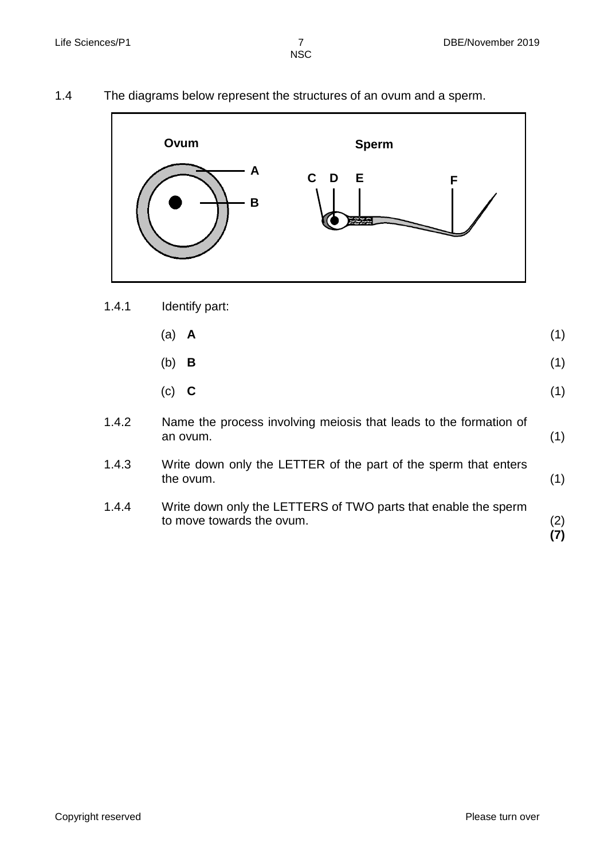1.4 The diagrams below represent the structures of an ovum and a sperm.



1.4.1 Identify part:

|       | $(a)$ <b>A</b>                                                    |  |
|-------|-------------------------------------------------------------------|--|
|       | $(b)$ <b>B</b>                                                    |  |
|       | $(c)$ C                                                           |  |
| 1.4.2 | Name the process involving meiosis that leads to the formation of |  |

- an ovum. (1)
- 1.4.3 Write down only the LETTER of the part of the sperm that enters the ovum. (1)
- 1.4.4 Write down only the LETTERS of TWO parts that enable the sperm to move towards the ovum. (2) **(7)**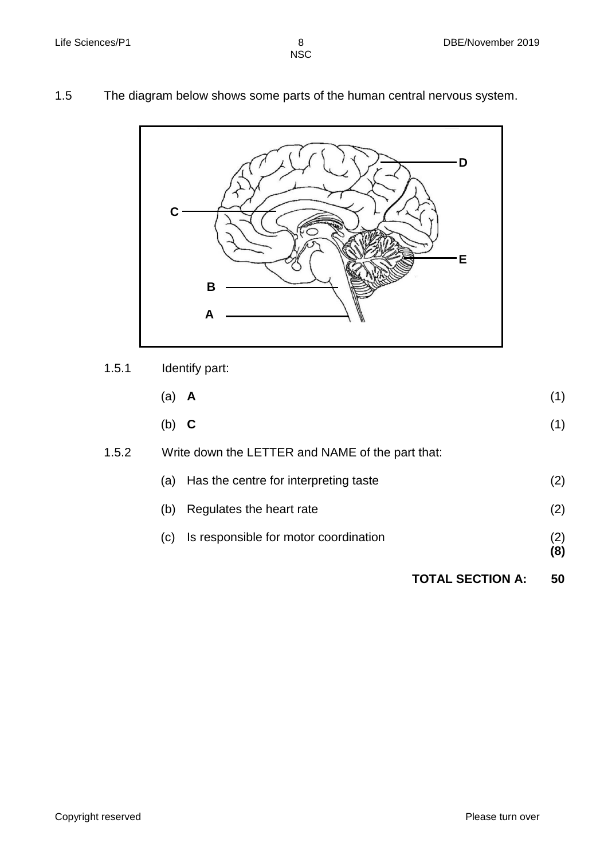1.5 The diagram below shows some parts of the human central nervous system.



1.5.1 Identify part:

|       | (a)<br>A                                         | (1)        |
|-------|--------------------------------------------------|------------|
|       | (b)<br>C                                         | (1)        |
| 1.5.2 | Write down the LETTER and NAME of the part that: |            |
|       | Has the centre for interpreting taste<br>(a)     | (2)        |
|       | Regulates the heart rate<br>(b)                  | (2)        |
|       | Is responsible for motor coordination<br>(c)     | (2)<br>(8) |
|       | <b>TOTAL SECTION A:</b>                          | 50         |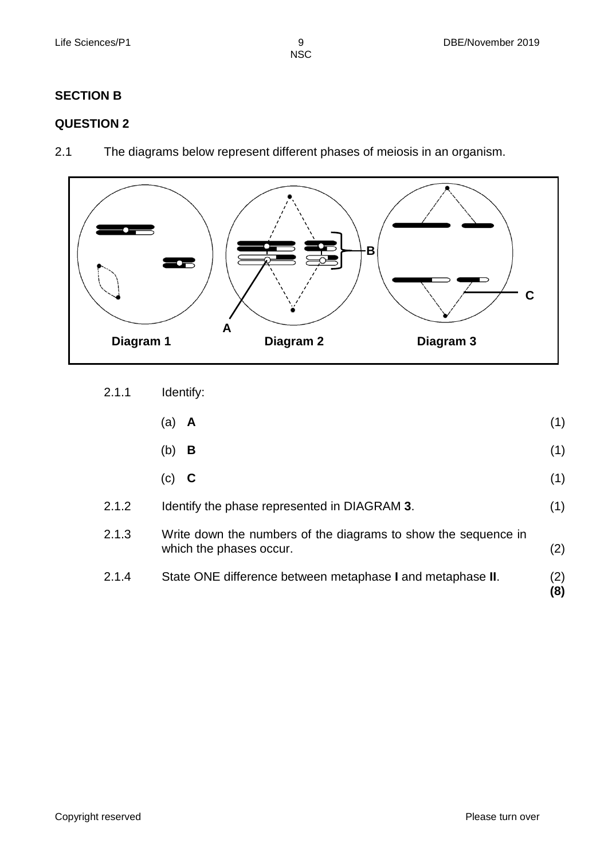NSC

#### **SECTION B**

#### **QUESTION 2**

2.1 The diagrams below represent different phases of meiosis in an organism.



2.1.1 Identify:

which the phases occur.

| $(a)$ <b>A</b> | (1) |  |
|----------------|-----|--|
|                |     |  |

- (b) **B** (1)
- (c) **C** (1)
- 2.1.2 2.1.3 Identify the phase represented in DIAGRAM **3**. Write down the numbers of the diagrams to show the sequence in (1)
- 2.1.4 State ONE difference between metaphase **I** and metaphase **II**. (2)

(2)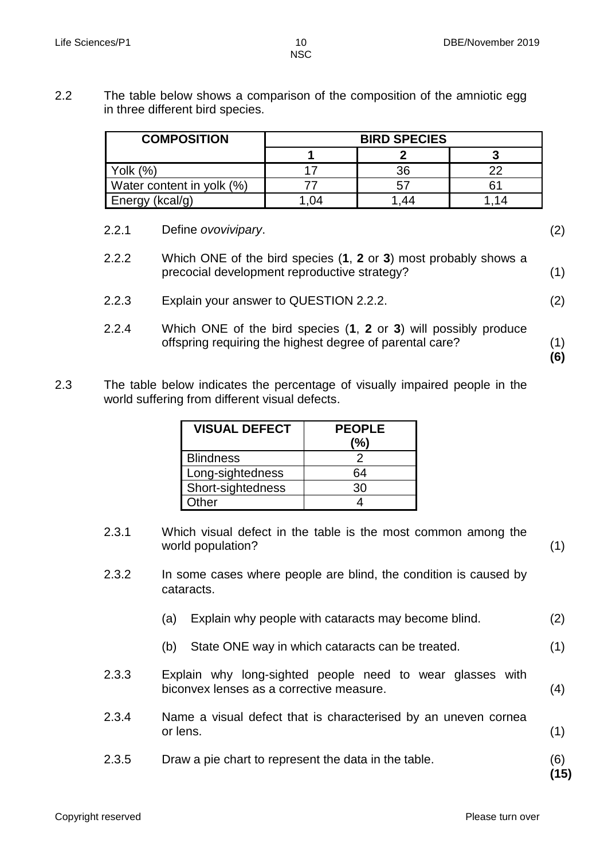2.2 The table below shows a comparison of the composition of the amniotic egg in three different bird species.

| <b>COMPOSITION</b>        | <b>BIRD SPECIES</b> |    |  |  |
|---------------------------|---------------------|----|--|--|
|                           |                     |    |  |  |
| Yolk (%)                  |                     | 36 |  |  |
| Water content in yolk (%) |                     |    |  |  |
| Energy (kcal/g)           | 04                  |    |  |  |

- 2.2.1 2.2.2 2.2.3 2.2.4 Define *ovovivipary*. Which ONE of the bird species (**1**, **2** or **3**) most probably shows a precocial development reproductive strategy? Explain your answer to QUESTION 2.2.2. Which ONE of the bird species (**1**, **2** or **3**) will possibly produce offspring requiring the highest degree of parental care? (2) (1) (2)
- 2.3 The table below indicates the percentage of visually impaired people in the world suffering from different visual defects.

| <b>VISUAL DEFECT</b> | <b>PEOPLE</b><br>(%) |
|----------------------|----------------------|
| <b>Blindness</b>     |                      |
| Long-sightedness     | 64                   |
| Short-sightedness    | 30                   |
| Other                |                      |

- 2.3.1 Which visual defect in the table is the most common among the world population? (1)
- 2.3.2 In some cases where people are blind, the condition is caused by cataracts.
	- (a) Explain why people with cataracts may become blind. (2)
	- (b) State ONE way in which cataracts can be treated. (1)
- 2.3.3 Explain why long-sighted people need to wear glasses with biconvex lenses as a corrective measure. (4)
- 2.3.4 Name a visual defect that is characterised by an uneven cornea or lens. (1)
- 2.3.5 Draw a pie chart to represent the data in the table. (6)

**(15)**

(1) **(6)**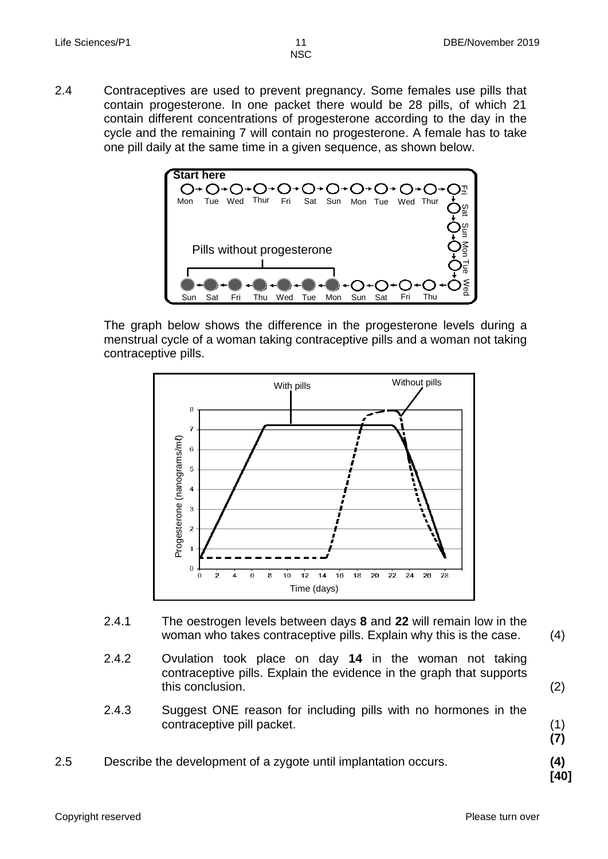2.4 Contraceptives are used to prevent pregnancy. Some females use pills that contain progesterone. In one packet there would be 28 pills, of which 21 contain different concentrations of progesterone according to the day in the cycle and the remaining 7 will contain no progesterone. A female has to take one pill daily at the same time in a given sequence, as shown below.



The graph below shows the difference in the progesterone levels during a menstrual cycle of a woman taking contraceptive pills and a woman not taking contraceptive pills.



- 2.4.1 The oestrogen levels between days **8** and **22** will remain low in the woman who takes contraceptive pills. Explain why this is the case. (4)
- 2.4.2 Ovulation took place on day **14** in the woman not taking contraceptive pills. Explain the evidence in the graph that supports this conclusion.
- 2.4.3 Suggest ONE reason for including pills with no hormones in the contraceptive pill packet.
- (1) **(7)**

(2)

2.5 Describe the development of a zygote until implantation occurs. **(4)**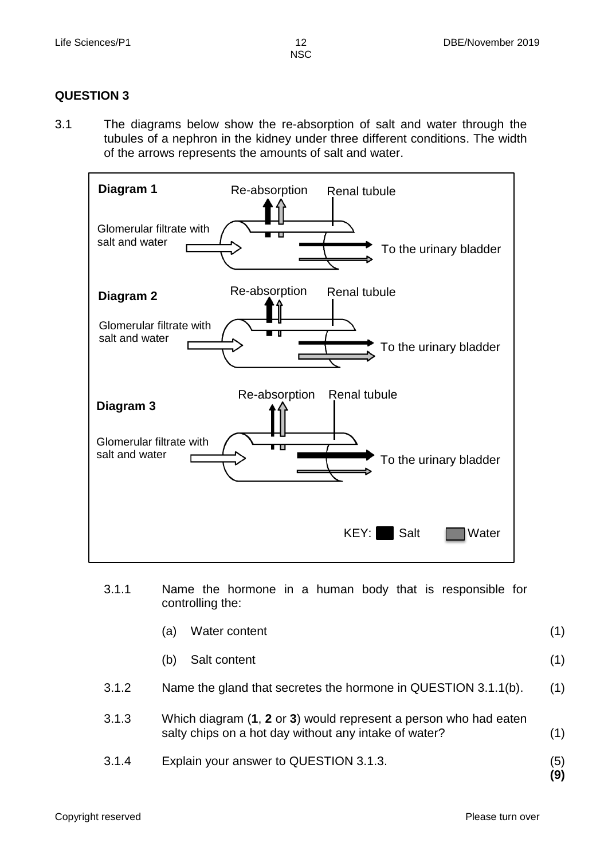#### **QUESTION 3**

3.1 The diagrams below show the re-absorption of salt and water through the tubules of a nephron in the kidney under three different conditions. The width of the arrows represents the amounts of salt and water.



- 3.1.1 Name the hormone in a human body that is responsible for controlling the:
	- (a) Water content (1)
	- (b) Salt content (1)
- 3.1.2 Name the gland that secretes the hormone in QUESTION 3.1.1(b). (1)
- 3.1.3 Which diagram (**1**, **2** or **3**) would represent a person who had eaten salty chips on a hot day without any intake of water? (1)
- 3.1.4 Explain your answer to QUESTION 3.1.3. (5)

**(9)**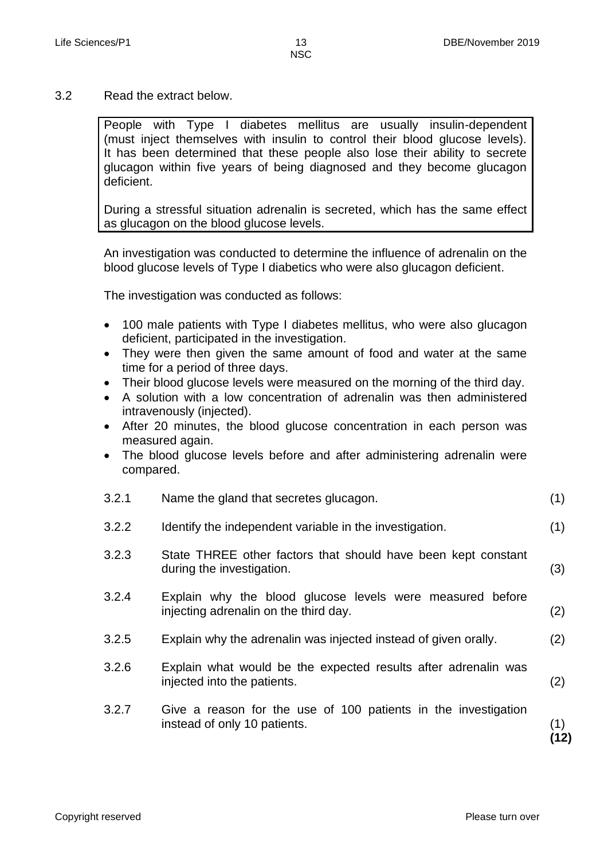3.2 Read the extract below.

People with Type I diabetes mellitus are usually insulin-dependent (must inject themselves with insulin to control their blood glucose levels). It has been determined that these people also lose their ability to secrete glucagon within five years of being diagnosed and they become glucagon deficient.

During a stressful situation adrenalin is secreted, which has the same effect as glucagon on the blood glucose levels.

An investigation was conducted to determine the influence of adrenalin on the blood glucose levels of Type I diabetics who were also glucagon deficient.

The investigation was conducted as follows:

- 100 male patients with Type I diabetes mellitus, who were also glucagon deficient, participated in the investigation.
- They were then given the same amount of food and water at the same time for a period of three days.
- Their blood glucose levels were measured on the morning of the third day.
- A solution with a low concentration of adrenalin was then administered intravenously (injected).
- After 20 minutes, the blood glucose concentration in each person was measured again.
- The blood glucose levels before and after administering adrenalin were compared.

| 3.2.1 | Name the gland that secretes glucagon.                                                             | (1)         |
|-------|----------------------------------------------------------------------------------------------------|-------------|
| 3.2.2 | Identify the independent variable in the investigation.                                            | (1)         |
| 3.2.3 | State THREE other factors that should have been kept constant<br>during the investigation.         | (3)         |
| 3.2.4 | Explain why the blood glucose levels were measured before<br>injecting adrenalin on the third day. | (2)         |
| 3.2.5 | Explain why the adrenalin was injected instead of given orally.                                    | (2)         |
| 3.2.6 | Explain what would be the expected results after adrenalin was<br>injected into the patients.      | (2)         |
| 3.2.7 | Give a reason for the use of 100 patients in the investigation<br>instead of only 10 patients.     | (1)<br>ั12) |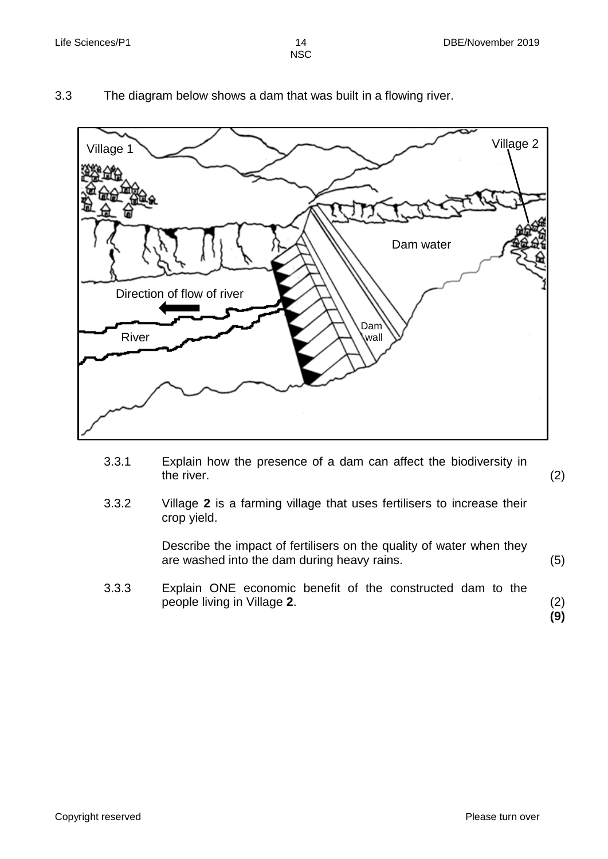**NSC** 

- Village 1 Village 2 River Dam wall Dam water Direction of flow of river
- 3.3 The diagram below shows a dam that was built in a flowing river.

3.3.1 Explain how the presence of a dam can affect the biodiversity in the river.

(2)

3.3.2 Village **2** is a farming village that uses fertilisers to increase their crop yield.

> Describe the impact of fertilisers on the quality of water when they are washed into the dam during heavy rains.

3.3.3 Explain ONE economic benefit of the constructed dam to the people living in Village **2**.

(2) **(9)**

(5)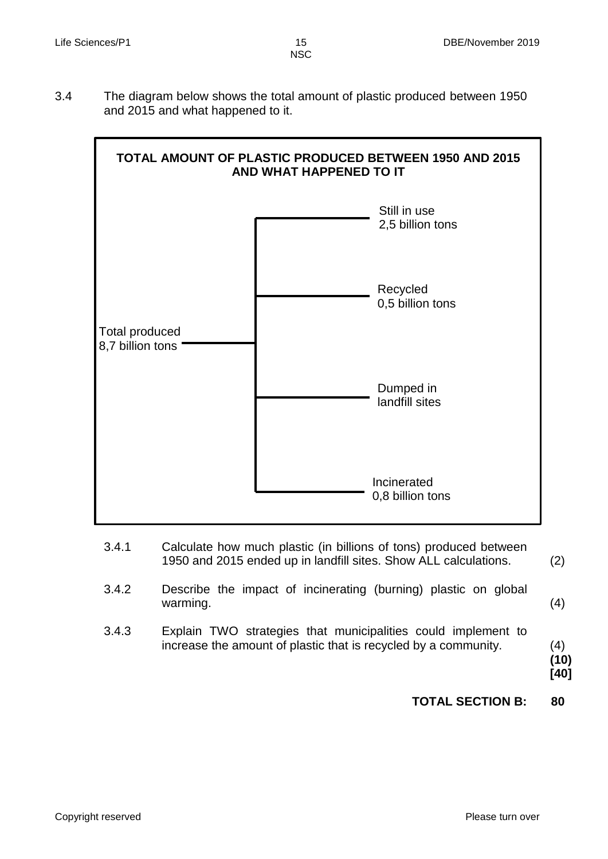3.4 The diagram below shows the total amount of plastic produced between 1950 and 2015 and what happened to it.



- 3.4.1 Calculate how much plastic (in billions of tons) produced between 1950 and 2015 ended up in landfill sites. Show ALL calculations.
- 3.4.2 Describe the impact of incinerating (burning) plastic on global warming. (4)
- 3.4.3 Explain TWO strategies that municipalities could implement to increase the amount of plastic that is recycled by a community.

(4) **(10) [40]**

(2)

### **TOTAL SECTION B: 80**